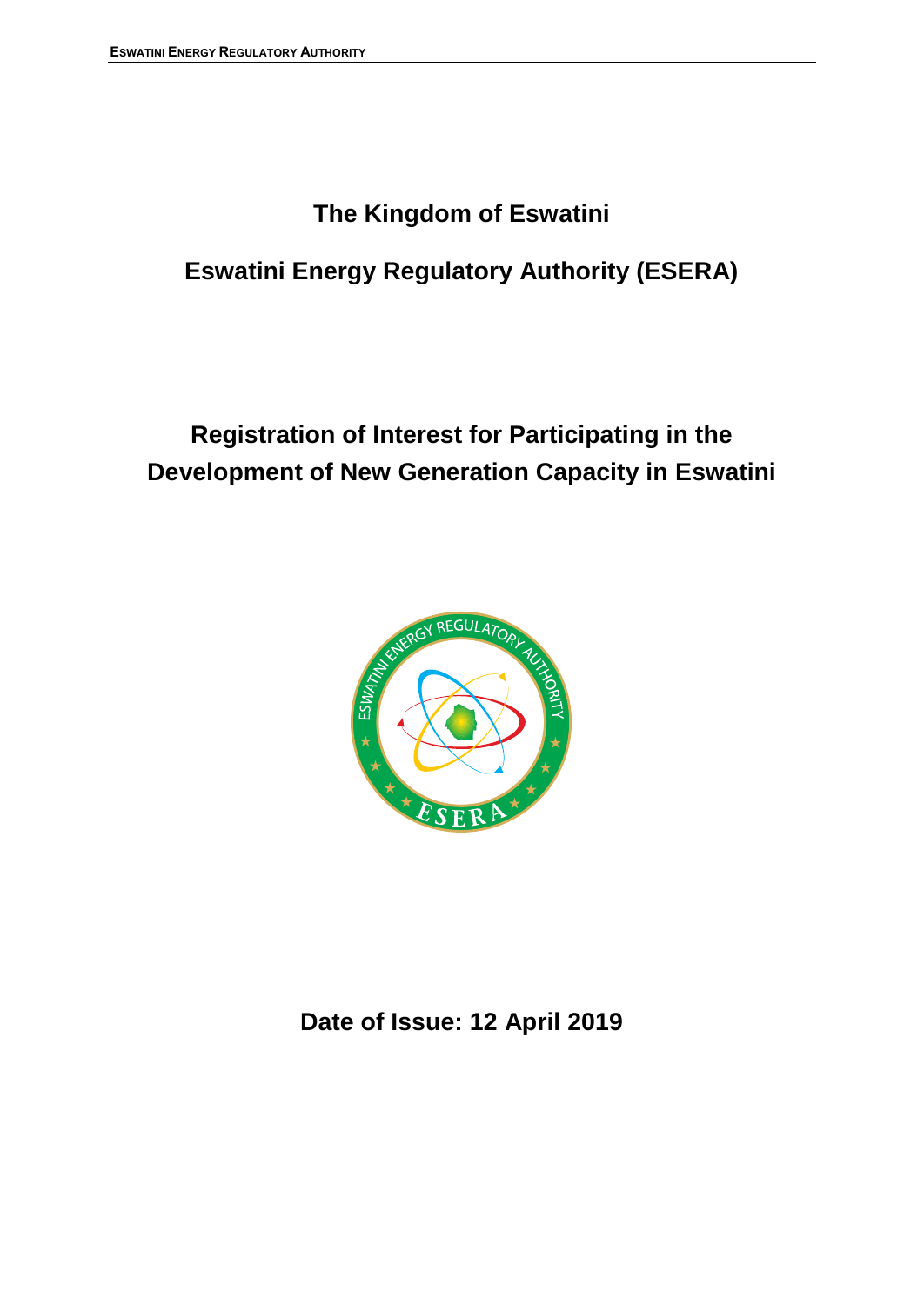## **The Kingdom of Eswatini**

# **Eswatini Energy Regulatory Authority (ESERA)**

# **Registration of Interest for Participating in the Development of New Generation Capacity in Eswatini**



## **Date of Issue: 12 April 2019**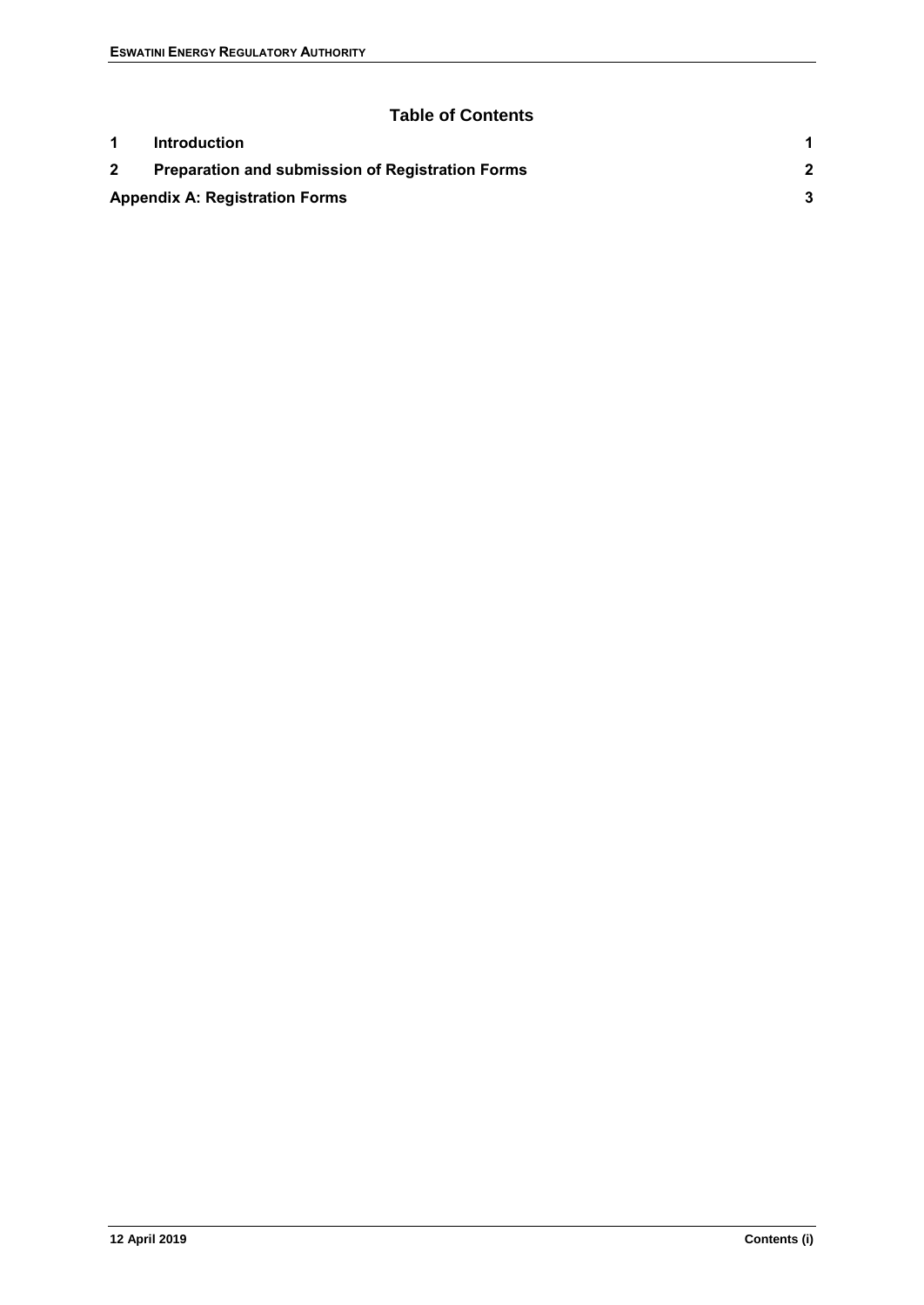#### **Table of Contents**

| <b>Introduction</b>                                     |  |
|---------------------------------------------------------|--|
| <b>Preparation and submission of Registration Forms</b> |  |
| <b>Appendix A: Registration Forms</b>                   |  |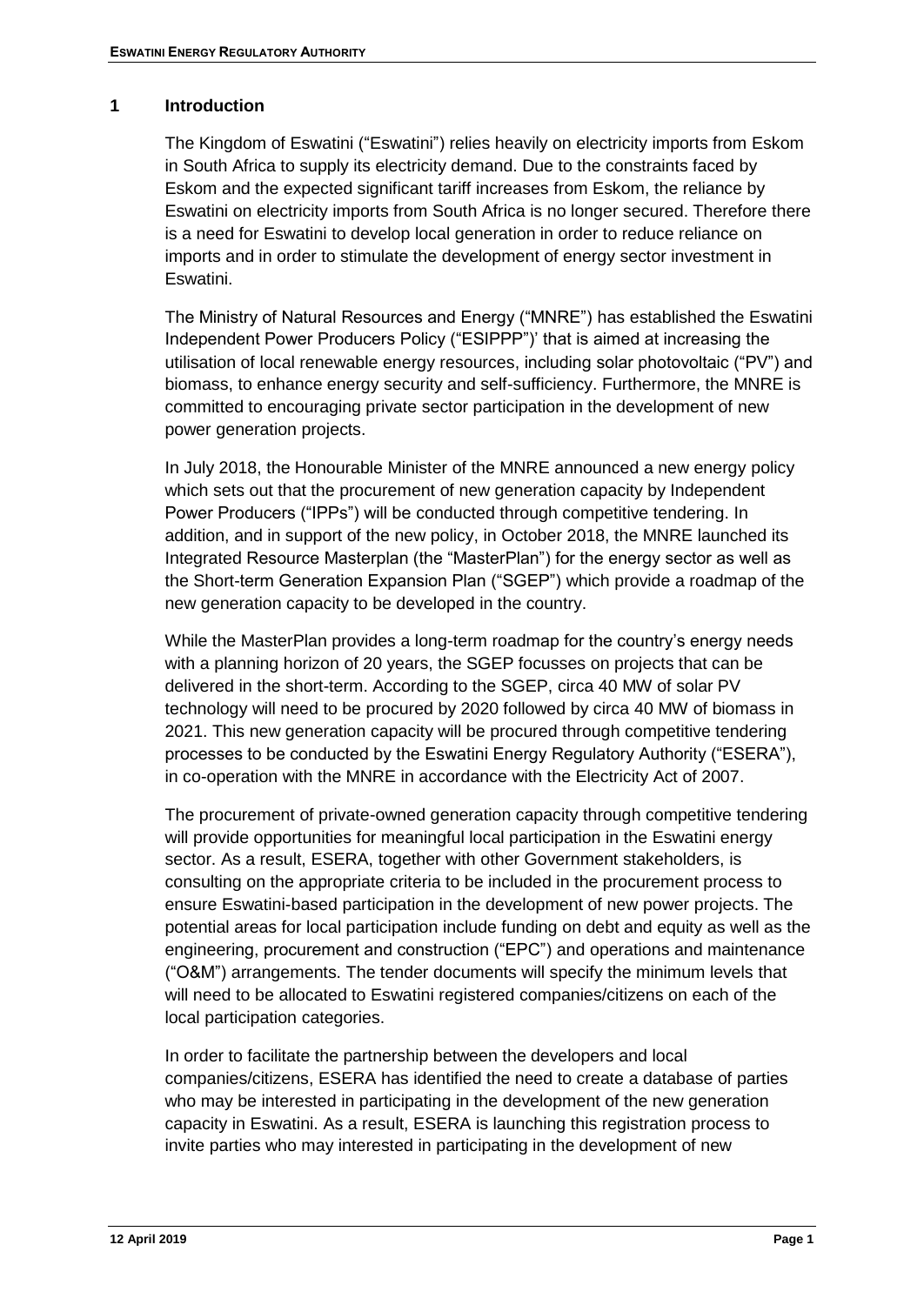#### <span id="page-2-0"></span>**1 Introduction**

The Kingdom of Eswatini ("Eswatini") relies heavily on electricity imports from Eskom in South Africa to supply its electricity demand. Due to the constraints faced by Eskom and the expected significant tariff increases from Eskom, the reliance by Eswatini on electricity imports from South Africa is no longer secured. Therefore there is a need for Eswatini to develop local generation in order to reduce reliance on imports and in order to stimulate the development of energy sector investment in Eswatini.

The Ministry of Natural Resources and Energy ("MNRE") has established the Eswatini Independent Power Producers Policy ("ESIPPP")' that is aimed at increasing the utilisation of local renewable energy resources, including solar photovoltaic ("PV") and biomass, to enhance energy security and self-sufficiency. Furthermore, the MNRE is committed to encouraging private sector participation in the development of new power generation projects.

In July 2018, the Honourable Minister of the MNRE announced a new energy policy which sets out that the procurement of new generation capacity by Independent Power Producers ("IPPs") will be conducted through competitive tendering. In addition, and in support of the new policy, in October 2018, the MNRE launched its Integrated Resource Masterplan (the "MasterPlan") for the energy sector as well as the Short-term Generation Expansion Plan ("SGEP") which provide a roadmap of the new generation capacity to be developed in the country.

While the MasterPlan provides a long-term roadmap for the country's energy needs with a planning horizon of 20 years, the SGEP focusses on projects that can be delivered in the short-term. According to the SGEP, circa 40 MW of solar PV technology will need to be procured by 2020 followed by circa 40 MW of biomass in 2021. This new generation capacity will be procured through competitive tendering processes to be conducted by the Eswatini Energy Regulatory Authority ("ESERA"), in co-operation with the MNRE in accordance with the Electricity Act of 2007.

The procurement of private-owned generation capacity through competitive tendering will provide opportunities for meaningful local participation in the Eswatini energy sector. As a result, ESERA, together with other Government stakeholders, is consulting on the appropriate criteria to be included in the procurement process to ensure Eswatini-based participation in the development of new power projects. The potential areas for local participation include funding on debt and equity as well as the engineering, procurement and construction ("EPC") and operations and maintenance ("O&M") arrangements. The tender documents will specify the minimum levels that will need to be allocated to Eswatini registered companies/citizens on each of the local participation categories.

In order to facilitate the partnership between the developers and local companies/citizens, ESERA has identified the need to create a database of parties who may be interested in participating in the development of the new generation capacity in Eswatini. As a result, ESERA is launching this registration process to invite parties who may interested in participating in the development of new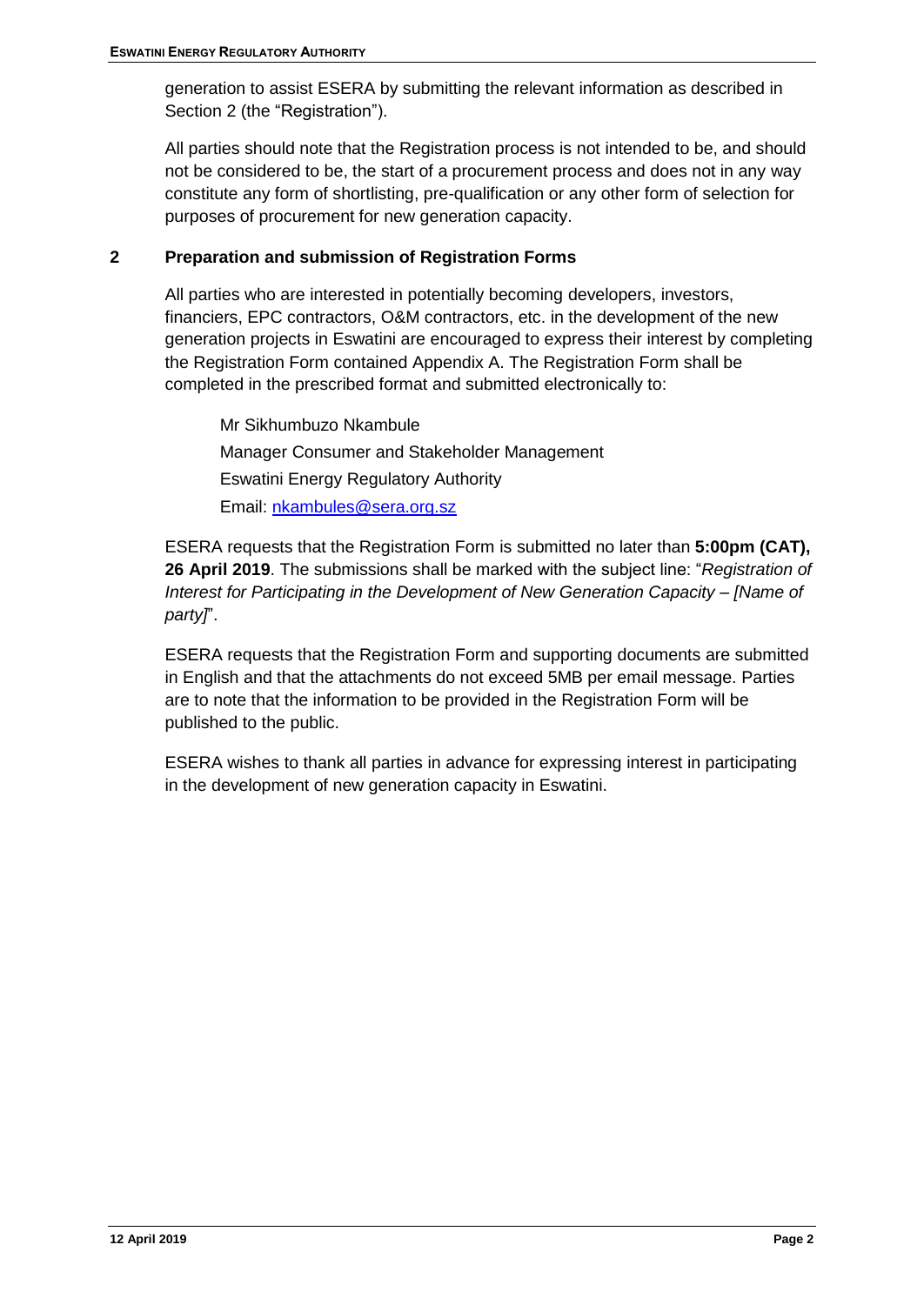generation to assist ESERA by submitting the relevant information as described in Section [2](#page-3-0) (the "Registration").

All parties should note that the Registration process is not intended to be, and should not be considered to be, the start of a procurement process and does not in any way constitute any form of shortlisting, pre-qualification or any other form of selection for purposes of procurement for new generation capacity.

#### <span id="page-3-0"></span>**2 Preparation and submission of Registration Forms**

All parties who are interested in potentially becoming developers, investors, financiers, EPC contractors, O&M contractors, etc. in the development of the new generation projects in Eswatini are encouraged to express their interest by completing the Registration Form contained Appendix A. The Registration Form shall be completed in the prescribed format and submitted electronically to:

Mr Sikhumbuzo Nkambule Manager Consumer and Stakeholder Management Eswatini Energy Regulatory Authority Email: nkambules@sera.org.sz

ESERA requests that the Registration Form is submitted no later than **5:00pm (CAT), 26 April 2019**. The submissions shall be marked with the subject line: "*Registration of Interest for Participating in the Development of New Generation Capacity – [Name of party]*".

ESERA requests that the Registration Form and supporting documents are submitted in English and that the attachments do not exceed 5MB per email message. Parties are to note that the information to be provided in the Registration Form will be published to the public.

ESERA wishes to thank all parties in advance for expressing interest in participating in the development of new generation capacity in Eswatini.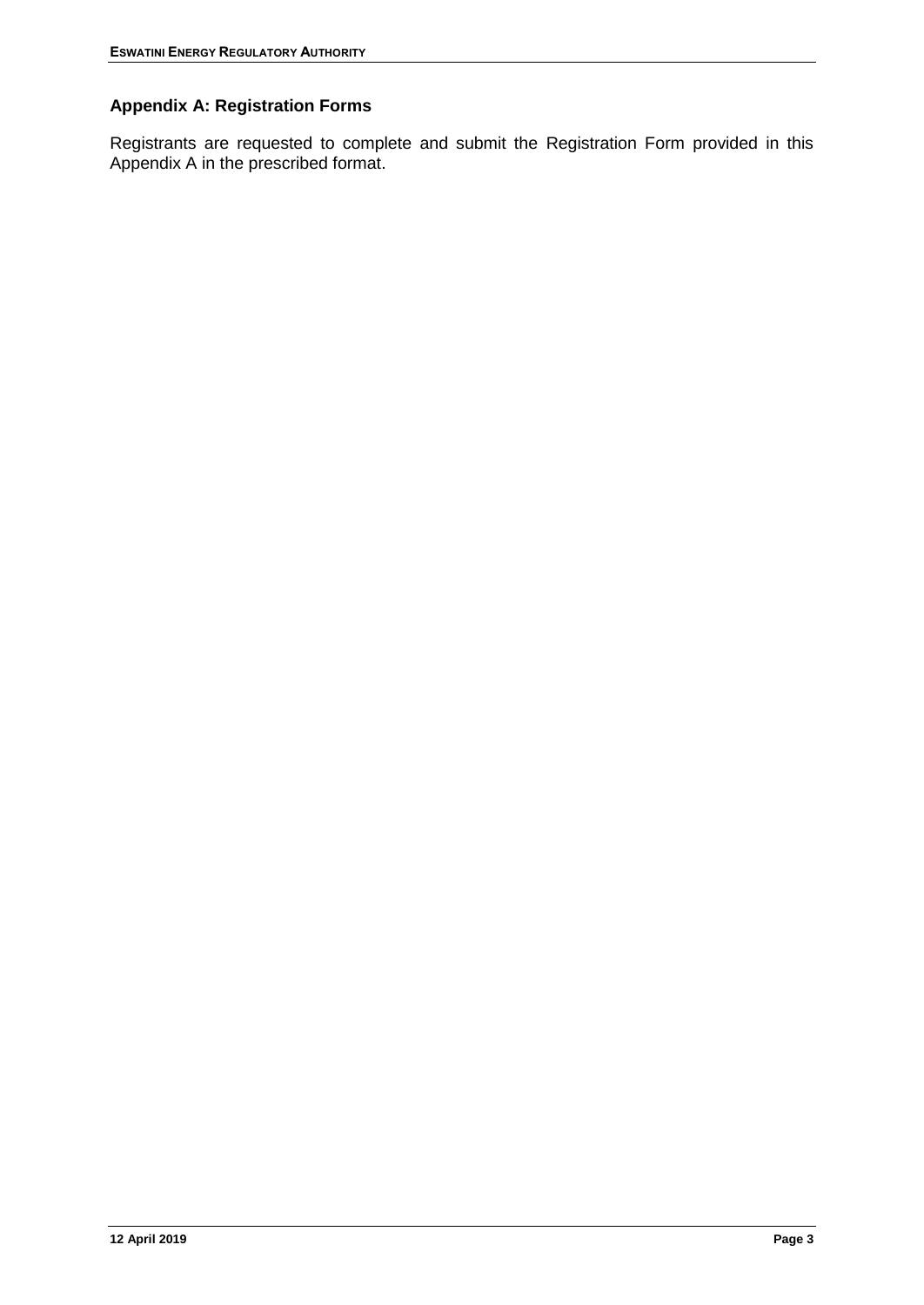### <span id="page-4-0"></span>**Appendix A: Registration Forms**

Registrants are requested to complete and submit the Registration Form provided in this Appendix A in the prescribed format.